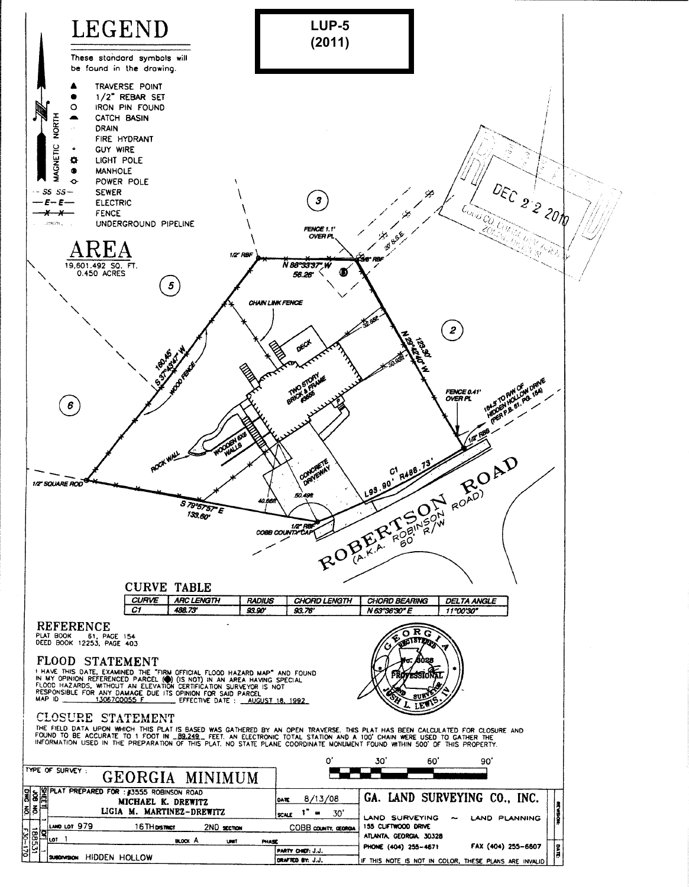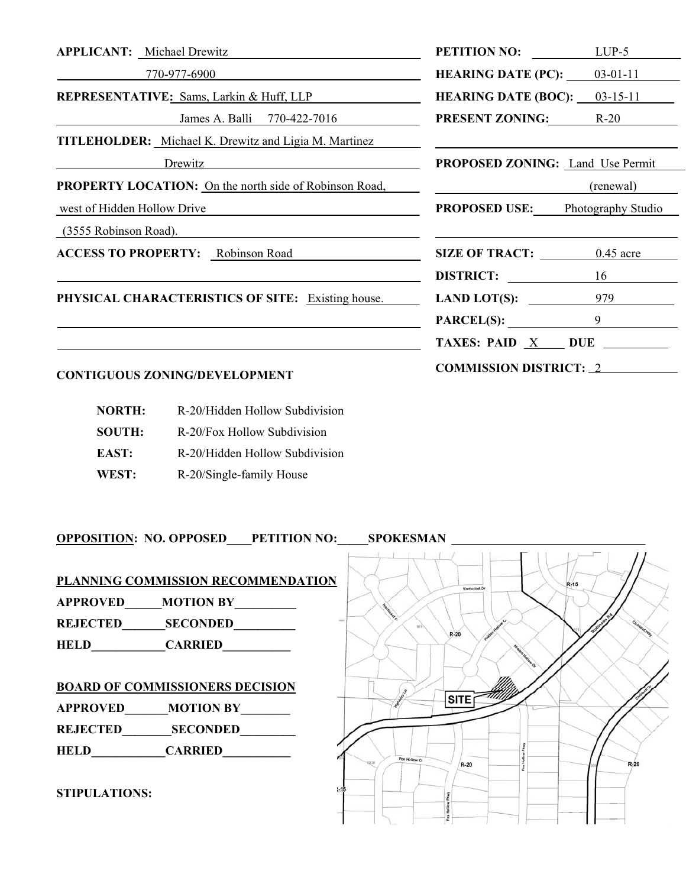| <b>APPLICANT:</b> Michael Drewitz                             | <b>PETITION NO:</b>              | $LUP-5$            |
|---------------------------------------------------------------|----------------------------------|--------------------|
| 770-977-6900                                                  | <b>HEARING DATE (PC):</b>        | $03-01-11$         |
| <b>REPRESENTATIVE:</b> Sams, Larkin & Huff, LLP               | <b>HEARING DATE (BOC):</b>       | $03-15-11$         |
| James A. Balli 770-422-7016                                   | <b>PRESENT ZONING:</b> R-20      |                    |
| <b>TITLEHOLDER:</b> Michael K. Drewitz and Ligia M. Martinez  |                                  |                    |
| Drewitz                                                       | PROPOSED ZONING: Land Use Permit |                    |
| <b>PROPERTY LOCATION:</b> On the north side of Robinson Road, |                                  | (renewal)          |
| west of Hidden Hollow Drive                                   | <b>PROPOSED USE:</b>             | Photography Studio |
| (3555 Robinson Road).                                         |                                  |                    |
| <b>ACCESS TO PROPERTY:</b> Robinson Road                      | SIZE OF TRACT: 0.45 acre         |                    |
|                                                               | <b>DISTRICT:</b> 16              |                    |
| PHYSICAL CHARACTERISTICS OF SITE: Existing house.             | $LAND$ $LOT(S)$ :                | 979                |
|                                                               | <b>PARCEL(S):</b>                | 9                  |
|                                                               | TAXES: PAID $X$ DUE              |                    |
|                                                               |                                  |                    |

# **CONTIGUOUS ZONING/DEVELOPMENT COMMISSION DISTRICT:** <sup>2</sup>

| <b>NORTH:</b> | R-20/Hidden Hollow Subdivision |
|---------------|--------------------------------|
| <b>SOUTH:</b> | R-20/Fox Hollow Subdivision    |
| EAST:         | R-20/Hidden Hollow Subdivision |
| WEST:         | R-20/Single-family House       |

**OPPOSITION: NO. OPPOSED\_\_\_\_PETITION NO:\_\_\_\_\_SPOKESMAN** 

# **PLANNING COMMISSION RECOMMENDATION APPROVED\_\_\_\_\_\_MOTION BY\_\_\_\_\_\_\_\_\_\_**

**REJECTED\_\_\_\_\_\_\_SECONDED\_\_\_\_\_\_\_\_\_\_** 

**HELD\_\_\_\_\_\_\_\_\_\_\_\_CARRIED\_\_\_\_\_\_\_\_\_\_\_** 

### **BOARD OF COMMISSIONERS DECISION**

**APPROVED\_\_\_\_\_\_\_MOTION BY\_\_\_\_\_\_\_\_ REJECTED\_\_\_\_\_\_\_\_SECONDED\_\_\_\_\_\_\_\_\_** 

**HELD\_\_\_\_\_\_\_\_\_\_\_\_CARRIED\_\_\_\_\_\_\_\_\_\_\_** 

#### **STIPULATIONS:**

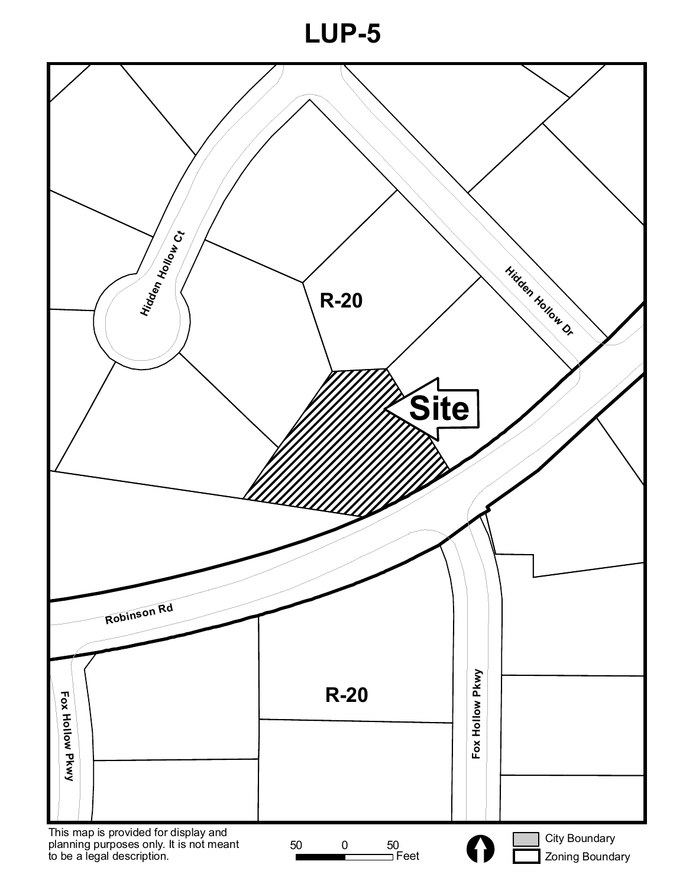**LUP-5**

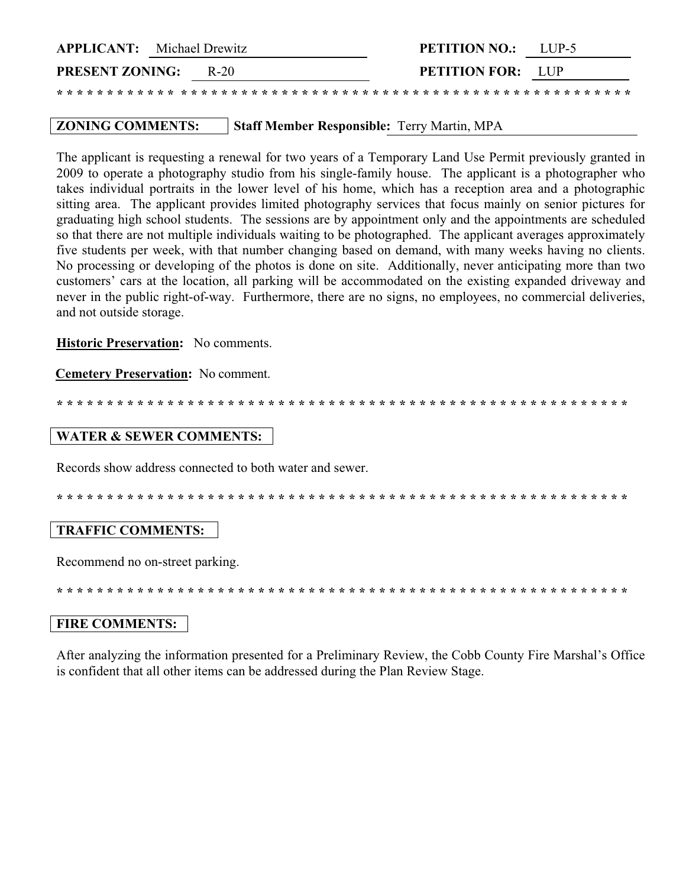| <b>APPLICANT:</b> Michael Drewitz |      | <b>PETITION NO.:</b>     | $LI$ P-5 |
|-----------------------------------|------|--------------------------|----------|
| <b>PRESENT ZONING:</b>            | R-20 | <b>PETITION FOR:</b> LUP |          |
|                                   |      |                          |          |

#### **ZONING COMMENTS: Staff Member Responsible: Terry Martin, MPA**

The applicant is requesting a renewal for two years of a Temporary Land Use Permit previously granted in 2009 to operate a photography studio from his single-family house. The applicant is a photographer who takes individual portraits in the lower level of his home, which has a reception area and a photographic sitting area. The applicant provides limited photography services that focus mainly on senior pictures for graduating high school students. The sessions are by appointment only and the appointments are scheduled so that there are not multiple individuals waiting to be photographed. The applicant averages approximately five students per week, with that number changing based on demand, with many weeks having no clients. No processing or developing of the photos is done on site. Additionally, never anticipating more than two customers' cars at the location, all parking will be accommodated on the existing expanded driveway and never in the public right-of-way. Furthermore, there are no signs, no employees, no commercial deliveries, and not outside storage.

**Historic Preservation:** No comments.

**Cemetery Preservation:** No comment.

## **WATER & SEWER COMMENTS:**

Records show address connected to both water and sewer.

# **TRAFFIC COMMENTS:**

Recommend no on-street parking.

# **FIRE COMMENTS:**

After analyzing the information presented for a Preliminary Review, the Cobb County Fire Marshal's Office is confident that all other items can be addressed during the Plan Review Stage.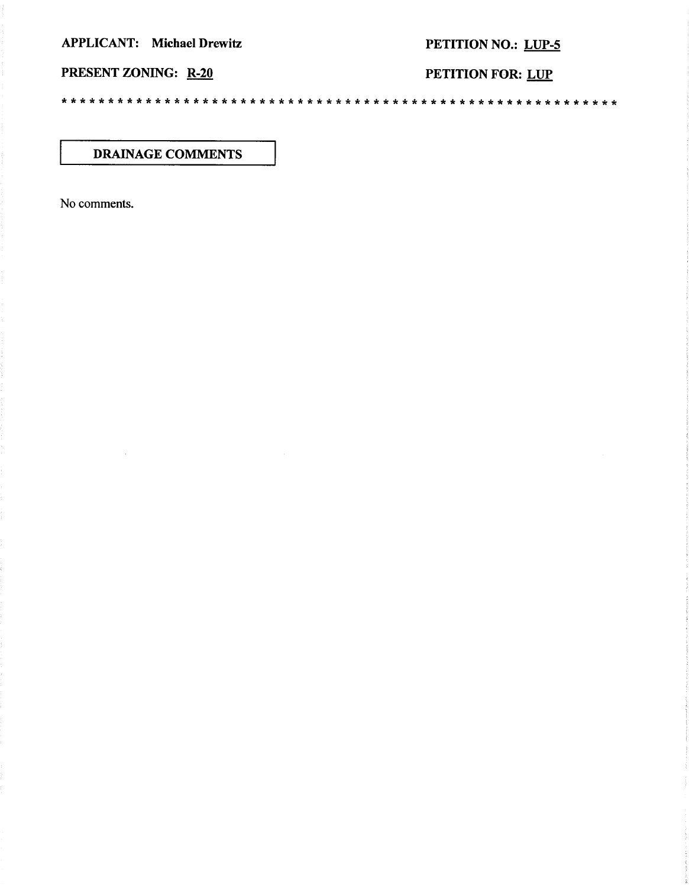**APPLICANT:** Michael Drewitz

# PETITION NO.: LUP-5

PRESENT ZONING: R-20

PETITION FOR: LUP

**DRAINAGE COMMENTS** 

No comments.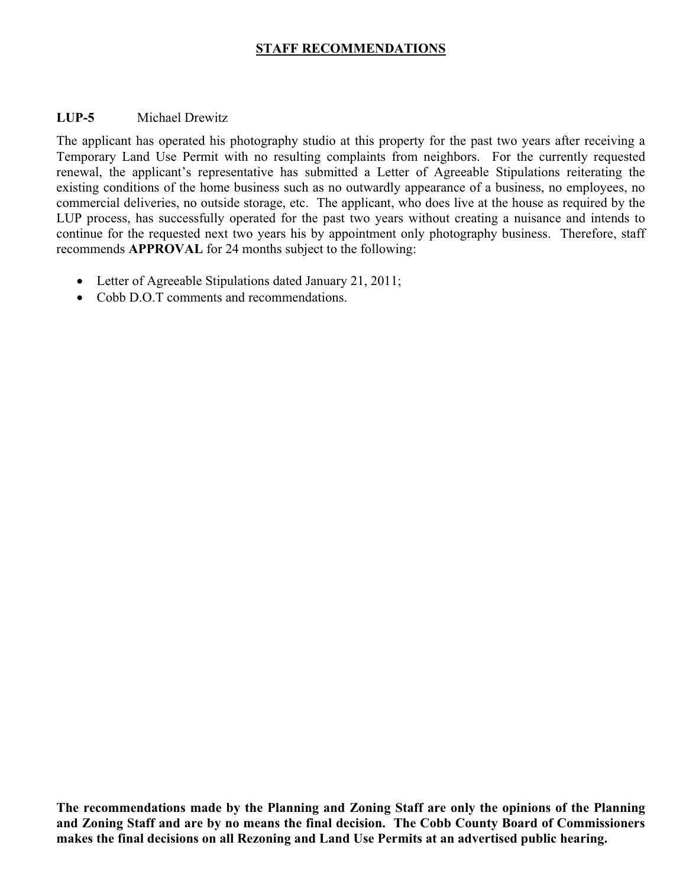# **STAFF RECOMMENDATIONS**

## **LUP-5** Michael Drewitz

The applicant has operated his photography studio at this property for the past two years after receiving a Temporary Land Use Permit with no resulting complaints from neighbors. For the currently requested renewal, the applicant's representative has submitted a Letter of Agreeable Stipulations reiterating the existing conditions of the home business such as no outwardly appearance of a business, no employees, no commercial deliveries, no outside storage, etc. The applicant, who does live at the house as required by the LUP process, has successfully operated for the past two years without creating a nuisance and intends to continue for the requested next two years his by appointment only photography business. Therefore, staff recommends **APPROVAL** for 24 months subject to the following:

- Letter of Agreeable Stipulations dated January 21, 2011;
- Cobb D.O.T comments and recommendations.

**The recommendations made by the Planning and Zoning Staff are only the opinions of the Planning and Zoning Staff and are by no means the final decision. The Cobb County Board of Commissioners makes the final decisions on all Rezoning and Land Use Permits at an advertised public hearing.**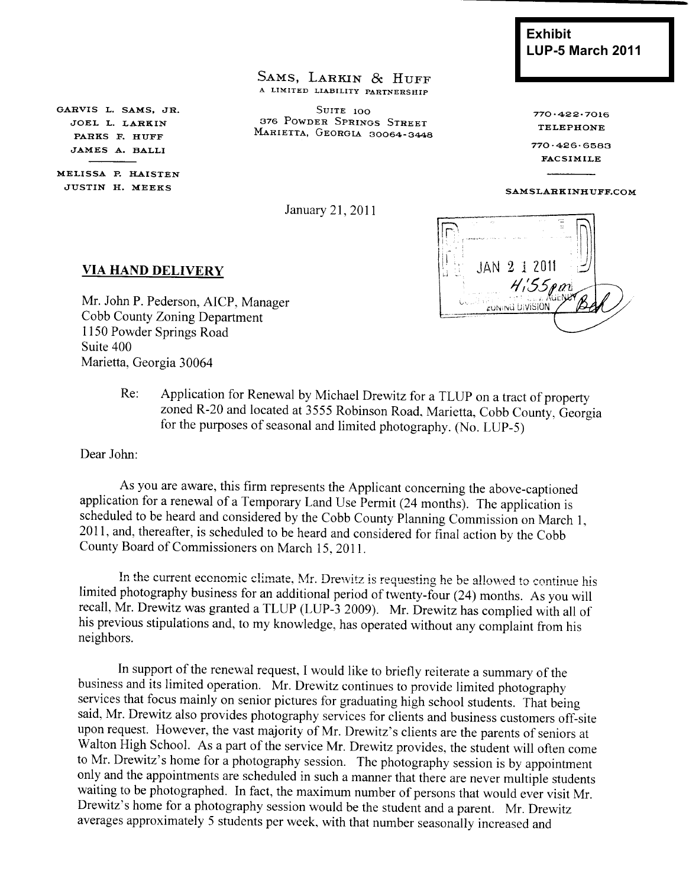SAMS, LARKIN & HUFF A LIMITED LIABILITY PARTNERSHIP

SUITE 100 376 POWDER SPRINGS STREET MARIETTA, GEORGIA 30064-3448

GARVIS L. SAMS, JR. JOEL L. LARKIN PARKS F. HUFF JAMES A. BALLI

MELISSA P. HAISTEN JUSTIN H. MEEKS

January 21, 2011

**Exhibit LUP-5 March 2011** 

 $770.422.7016$ **TELEPHONE** 

 $770.426.6583$ **FACSIMILE** 

#### SAMSLARKINHUFF.COM

JAN 2 1 2011 Ξł  $H$ <sub>155pm</sub> **ZUNING DIVISION** 

#### **VIA HAND DELIVERY**

Mr. John P. Pederson, AICP, Manager Cobb County Zoning Department 1150 Powder Springs Road Suite 400 Marietta, Georgia 30064

> Application for Renewal by Michael Drewitz for a TLUP on a tract of property  $Re:$ zoned R-20 and located at 3555 Robinson Road, Marietta, Cobb County, Georgia for the purposes of seasonal and limited photography. (No. LUP-5)

Dear John:

As you are aware, this firm represents the Applicant concerning the above-captioned application for a renewal of a Temporary Land Use Permit (24 months). The application is scheduled to be heard and considered by the Cobb County Planning Commission on March 1, 2011, and, thereafter, is scheduled to be heard and considered for final action by the Cobb County Board of Commissioners on March 15, 2011.

In the current economic climate, Mr. Drewitz is requesting he be allowed to continue his limited photography business for an additional period of twenty-four (24) months. As you will recall, Mr. Drewitz was granted a TLUP (LUP-3 2009). Mr. Drewitz has complied with all of his previous stipulations and, to my knowledge, has operated without any complaint from his neighbors.

In support of the renewal request, I would like to briefly reiterate a summary of the business and its limited operation. Mr. Drewitz continues to provide limited photography services that focus mainly on senior pictures for graduating high school students. That being said, Mr. Drewitz also provides photography services for clients and business customers off-site upon request. However, the vast majority of Mr. Drewitz's clients are the parents of seniors at Walton High School. As a part of the service Mr. Drewitz provides, the student will often come to Mr. Drewitz's home for a photography session. The photography session is by appointment only and the appointments are scheduled in such a manner that there are never multiple students waiting to be photographed. In fact, the maximum number of persons that would ever visit Mr. Drewitz's home for a photography session would be the student and a parent. Mr. Drewitz averages approximately 5 students per week, with that number seasonally increased and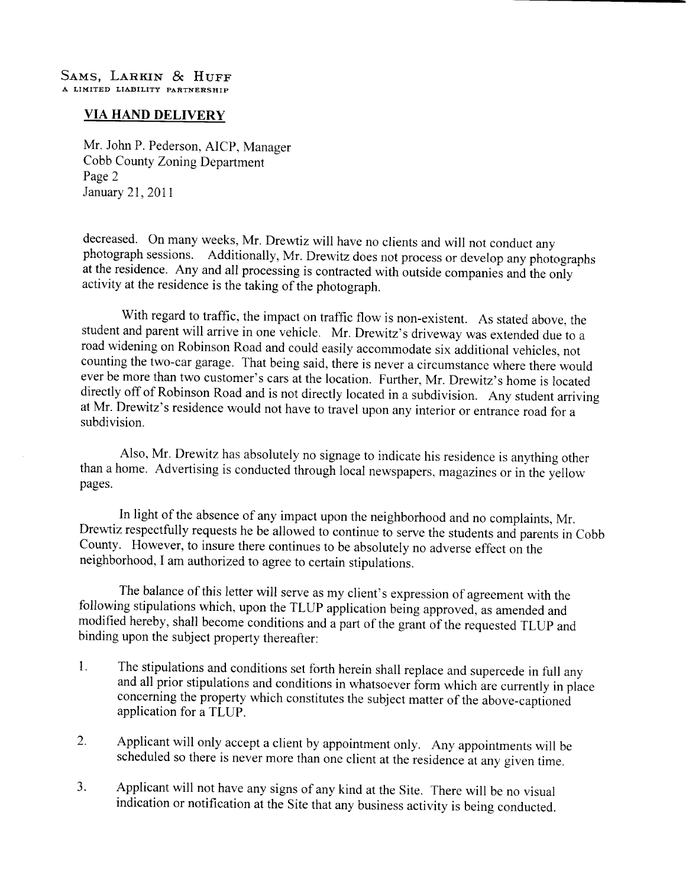## **VIA HAND DELIVERY**

Mr. John P. Pederson, AICP, Manager Cobb County Zoning Department Page 2 January 21, 2011

decreased. On many weeks, Mr. Drewtiz will have no clients and will not conduct any photograph sessions. Additionally, Mr. Drewitz does not process or develop any photographs at the residence. Any and all processing is contracted with outside companies and the only activity at the residence is the taking of the photograph.

With regard to traffic, the impact on traffic flow is non-existent. As stated above, the student and parent will arrive in one vehicle. Mr. Drewitz's driveway was extended due to a road widening on Robinson Road and could easily accommodate six additional vehicles, not counting the two-car garage. That being said, there is never a circumstance where there would ever be more than two customer's cars at the location. Further, Mr. Drewitz's home is located directly off of Robinson Road and is not directly located in a subdivision. Any student arriving at Mr. Drewitz's residence would not have to travel upon any interior or entrance road for a subdivision.

Also, Mr. Drewitz has absolutely no signage to indicate his residence is anything other than a home. Advertising is conducted through local newspapers, magazines or in the yellow pages.

In light of the absence of any impact upon the neighborhood and no complaints, Mr. Drewtiz respectfully requests he be allowed to continue to serve the students and parents in Cobb County. However, to insure there continues to be absolutely no adverse effect on the neighborhood, I am authorized to agree to certain stipulations.

The balance of this letter will serve as my client's expression of agreement with the following stipulations which, upon the TLUP application being approved, as amended and modified hereby, shall become conditions and a part of the grant of the requested TLUP and binding upon the subject property thereafter:

- The stipulations and conditions set forth herein shall replace and supercede in full any  $\mathbf{1}$ . and all prior stipulations and conditions in whatsoever form which are currently in place concerning the property which constitutes the subject matter of the above-captioned application for a TLUP.
- 2. Applicant will only accept a client by appointment only. Any appointments will be scheduled so there is never more than one client at the residence at any given time.
- Applicant will not have any signs of any kind at the Site. There will be no visual  $3.$ indication or notification at the Site that any business activity is being conducted.